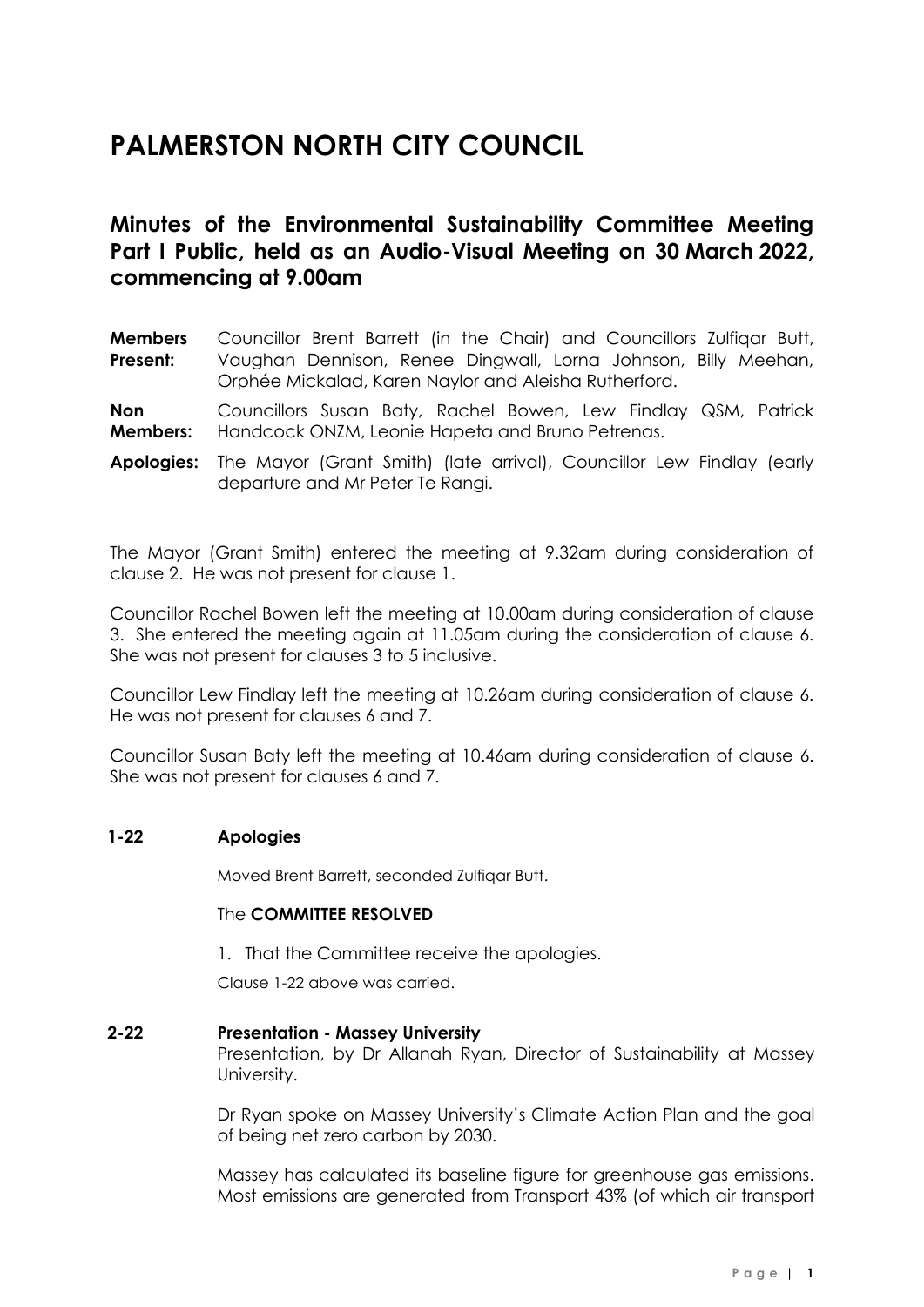# **PALMERSTON NORTH CITY COUNCIL**

# **Minutes of the Environmental Sustainability Committee Meeting Part I Public, held as an Audio-Visual Meeting on 30 March 2022, commencing at 9.00am**

**Members Present:** Councillor Brent Barrett (in the Chair) and Councillors Zulfiqar Butt, Vaughan Dennison, Renee Dingwall, Lorna Johnson, Billy Meehan, Orphée Mickalad, Karen Naylor and Aleisha Rutherford.

**Non Members:** Councillors Susan Baty, Rachel Bowen, Lew Findlay QSM, Patrick Handcock ONZM, Leonie Hapeta and Bruno Petrenas.

**Apologies:** The Mayor (Grant Smith) (late arrival), Councillor Lew Findlay (early departure and Mr Peter Te Rangi.

The Mayor (Grant Smith) entered the meeting at 9.32am during consideration of clause 2. He was not present for clause 1.

Councillor Rachel Bowen left the meeting at 10.00am during consideration of clause 3. She entered the meeting again at 11.05am during the consideration of clause 6. She was not present for clauses 3 to 5 inclusive.

Councillor Lew Findlay left the meeting at 10.26am during consideration of clause 6. He was not present for clauses 6 and 7.

Councillor Susan Baty left the meeting at 10.46am during consideration of clause 6. She was not present for clauses 6 and 7.

#### **1-22 Apologies**

Moved Brent Barrett, seconded Zulfiqar Butt.

#### The **COMMITTEE RESOLVED**

1. That the Committee receive the apologies.

Clause 1-22 above was carried.

#### **2-22 Presentation - Massey University**

Presentation, by Dr Allanah Ryan, Director of Sustainability at Massey University.

Dr Ryan spoke on Massey University's Climate Action Plan and the goal of being net zero carbon by 2030.

Massey has calculated its baseline figure for greenhouse gas emissions. Most emissions are generated from Transport 43% (of which air transport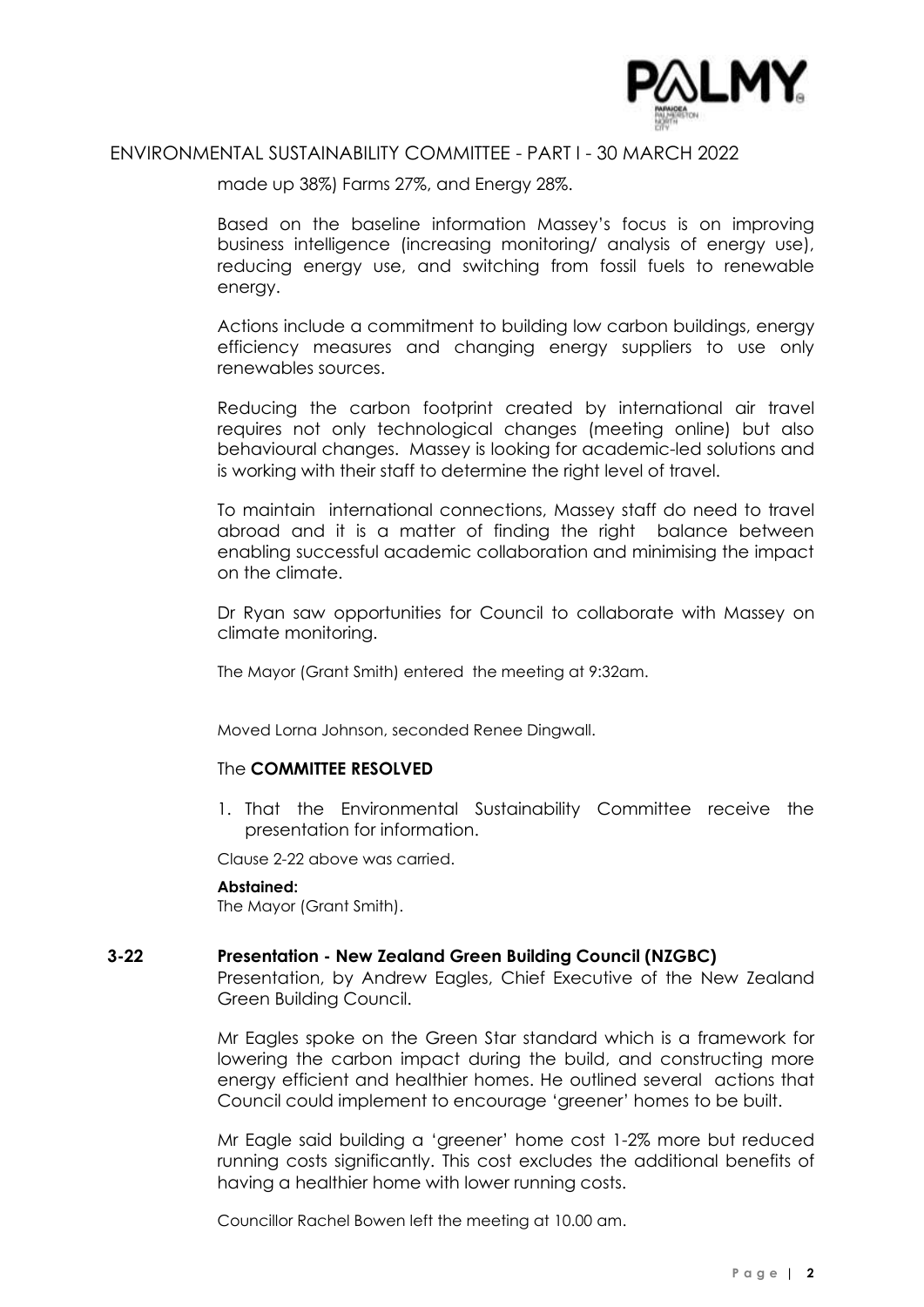

## ENVIRONMENTAL SUSTAINABILITY COMMITTEE - PART I - 30 MARCH 2022

made up 38%) Farms 27%, and Energy 28%.

Based on the baseline information Massey's focus is on improving business intelligence (increasing monitoring/ analysis of energy use), reducing energy use, and switching from fossil fuels to renewable energy.

Actions include a commitment to building low carbon buildings, energy efficiency measures and changing energy suppliers to use only renewables sources.

Reducing the carbon footprint created by international air travel requires not only technological changes (meeting online) but also behavioural changes. Massey is looking for academic-led solutions and is working with their staff to determine the right level of travel.

To maintain international connections, Massey staff do need to travel abroad and it is a matter of finding the right balance between enabling successful academic collaboration and minimising the impact on the climate.

Dr Ryan saw opportunities for Council to collaborate with Massey on climate monitoring.

The Mayor (Grant Smith) entered the meeting at 9:32am.

Moved Lorna Johnson, seconded Renee Dingwall.

#### The **COMMITTEE RESOLVED**

1. That the Environmental Sustainability Committee receive the presentation for information.

Clause 2-22 above was carried.

#### **Abstained:**

The Mayor (Grant Smith).

#### **3-22 Presentation - New Zealand Green Building Council (NZGBC)**

Presentation, by Andrew Eagles, Chief Executive of the New Zealand Green Building Council.

Mr Eagles spoke on the Green Star standard which is a framework for lowering the carbon impact during the build, and constructing more energy efficient and healthier homes. He outlined several actions that Council could implement to encourage 'greener' homes to be built.

Mr Eagle said building a 'greener' home cost 1-2% more but reduced running costs significantly. This cost excludes the additional benefits of having a healthier home with lower running costs.

Councillor Rachel Bowen left the meeting at 10.00 am.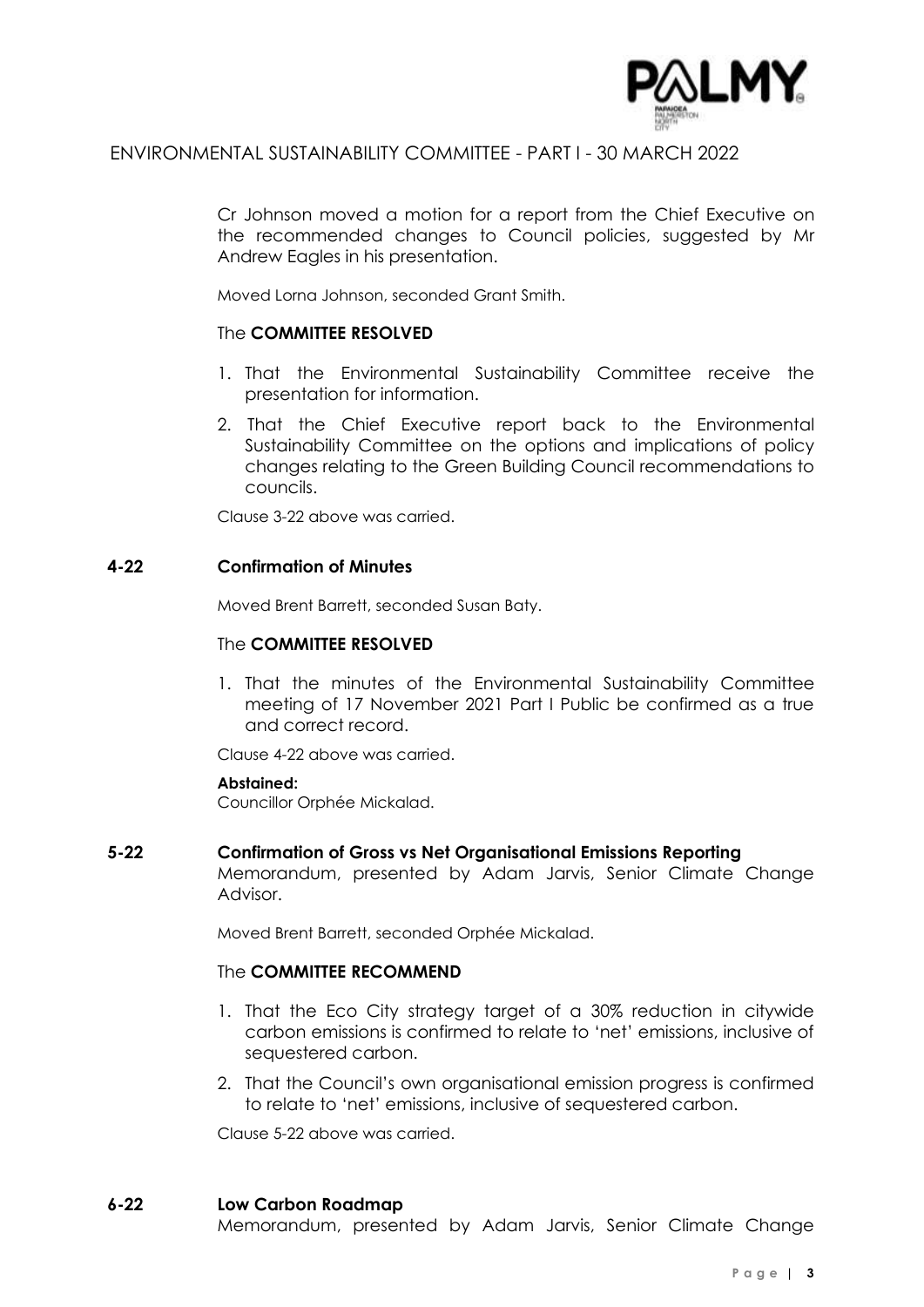

# ENVIRONMENTAL SUSTAINABILITY COMMITTEE - PART I - 30 MARCH 2022

Cr Johnson moved a motion for a report from the Chief Executive on the recommended changes to Council policies, suggested by Mr Andrew Eagles in his presentation.

Moved Lorna Johnson, seconded Grant Smith.

#### The **COMMITTEE RESOLVED**

- 1. That the Environmental Sustainability Committee receive the presentation for information.
- 2. That the Chief Executive report back to the Environmental Sustainability Committee on the options and implications of policy changes relating to the Green Building Council recommendations to councils.

Clause 3-22 above was carried.

#### **4-22 Confirmation of Minutes**

Moved Brent Barrett, seconded Susan Baty.

#### The **COMMITTEE RESOLVED**

1. That the minutes of the Environmental Sustainability Committee meeting of 17 November 2021 Part I Public be confirmed as a true and correct record.

Clause 4-22 above was carried.

#### **Abstained:**

Councillor Orphée Mickalad.

#### **5-22 Confirmation of Gross vs Net Organisational Emissions Reporting**

Memorandum, presented by Adam Jarvis, Senior Climate Change Advisor.

Moved Brent Barrett, seconded Orphée Mickalad.

#### The **COMMITTEE RECOMMEND**

- 1. That the Eco City strategy target of a 30% reduction in citywide carbon emissions is confirmed to relate to 'net' emissions, inclusive of sequestered carbon.
- 2. That the Council's own organisational emission progress is confirmed to relate to 'net' emissions, inclusive of sequestered carbon.

Clause 5-22 above was carried.

#### **6-22 Low Carbon Roadmap**

Memorandum, presented by Adam Jarvis, Senior Climate Change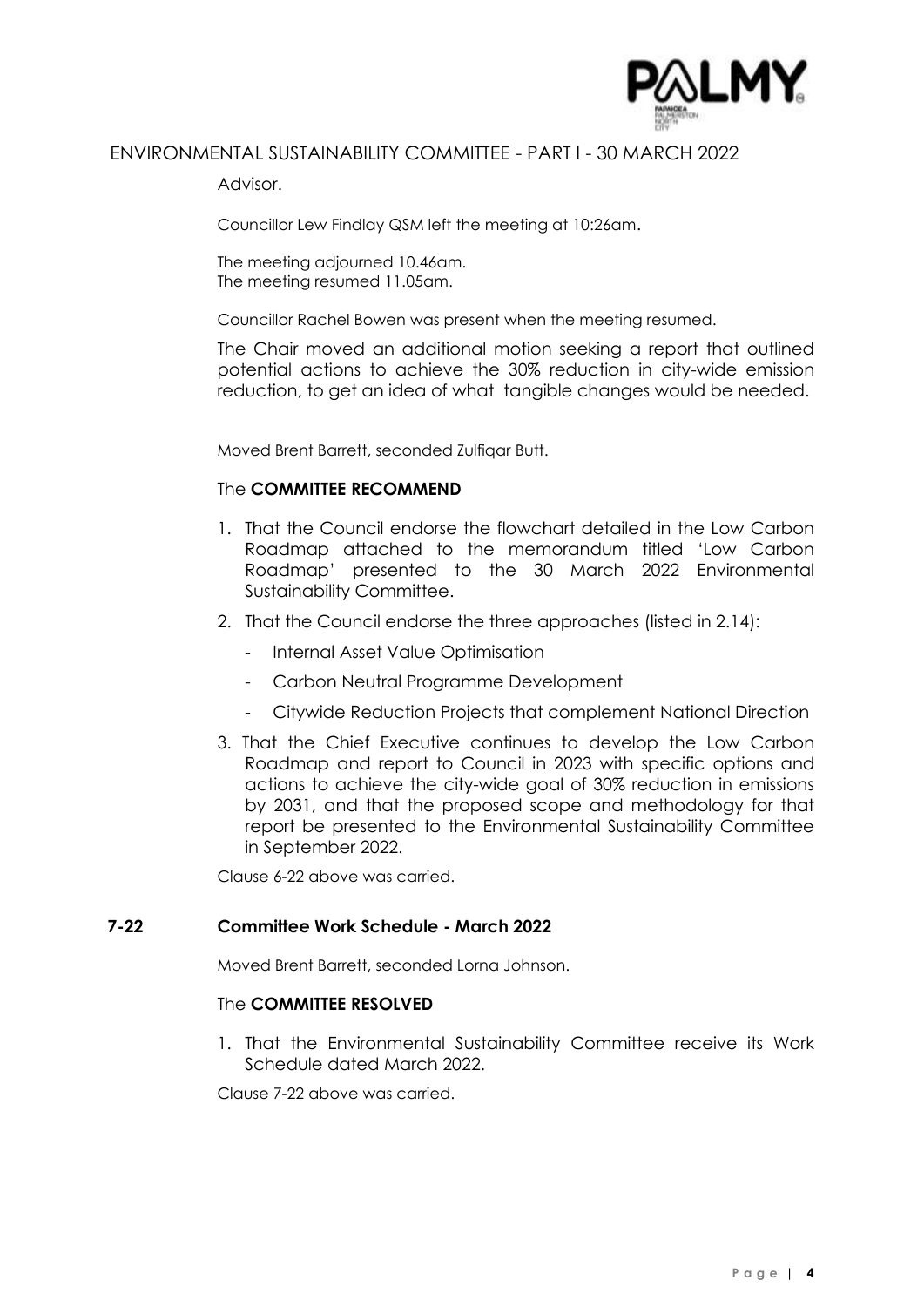

# ENVIRONMENTAL SUSTAINABILITY COMMITTEE - PART I - 30 MARCH 2022

Advisor.

Councillor Lew Findlay QSM left the meeting at 10:26am.

The meeting adjourned 10.46am. The meeting resumed 11.05am.

Councillor Rachel Bowen was present when the meeting resumed.

The Chair moved an additional motion seeking a report that outlined potential actions to achieve the 30% reduction in city-wide emission reduction, to get an idea of what tangible changes would be needed.

Moved Brent Barrett, seconded Zulfiqar Butt.

#### The **COMMITTEE RECOMMEND**

- 1. That the Council endorse the flowchart detailed in the Low Carbon Roadmap attached to the memorandum titled 'Low Carbon Roadmap' presented to the 30 March 2022 Environmental Sustainability Committee.
- 2. That the Council endorse the three approaches (listed in 2.14):
	- Internal Asset Value Optimisation
	- Carbon Neutral Programme Development
	- Citywide Reduction Projects that complement National Direction
- 3. That the Chief Executive continues to develop the Low Carbon Roadmap and report to Council in 2023 with specific options and actions to achieve the city-wide goal of 30% reduction in emissions by 2031, and that the proposed scope and methodology for that report be presented to the Environmental Sustainability Committee in September 2022.

Clause 6-22 above was carried.

#### **7-22 Committee Work Schedule - March 2022**

Moved Brent Barrett, seconded Lorna Johnson.

#### The **COMMITTEE RESOLVED**

1. That the Environmental Sustainability Committee receive its Work Schedule dated March 2022.

Clause 7-22 above was carried.